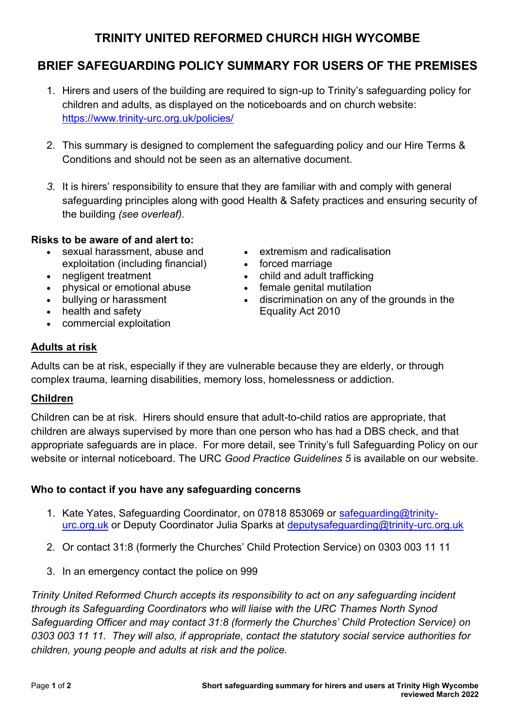# **TRINITY UNITED REFORMED CHURCH HIGH WYCOMBE**

# **BRIEF SAFEGUARDING POLICY SUMMARY FOR USERS OF THE PREMISES**

- 1. Hirers and users of the building are required to sign-up to Trinity's safeguarding policy for children and adults, as displayed on the noticeboards and on church website: <https://www.trinity-urc.org.uk/policies/>
- 2. This summary is designed to complement the safeguarding policy and our Hire Terms & Conditions and should not be seen as an alternative document.
- *3.* It is hirers' responsibility to ensure that they are familiar with and comply with general safeguarding principles along with good Health & Safety practices and ensuring security of the building *(see overleaf).*

## **Risks to be aware of and alert to:**

- sexual harassment, abuse and exploitation (including financial)
- negligent treatment
- physical or emotional abuse
- bullying or harassment
- health and safety
- commercial exploitation
- extremism and radicalisation
- forced marriage
- child and adult trafficking
- female genital mutilation
- discrimination on any of the grounds in the Equality Act 2010

# **Adults at risk**

Adults can be at risk, especially if they are vulnerable because they are elderly, or through complex trauma, learning disabilities, memory loss, homelessness or addiction.

# **Children**

Children can be at risk. Hirers should ensure that adult-to-child ratios are appropriate, that children are always supervised by more than one person who has had a DBS check, and that appropriate safeguards are in place. For more detail, see Trinity's full Safeguarding Policy on our website or internal noticeboard. The URC *Good Practice Guidelines 5* is available on our website.

## **Who to contact if you have any safeguarding concerns**

- 1. Kate Yates, Safeguarding Coordinator, on 07818 853069 or [safeguarding@trinity](mailto:safeguarding@trinity-urc.org.uk)[urc.org.uk](mailto:safeguarding@trinity-urc.org.uk) or Deputy Coordinator Julia Sparks at [deputysafeguarding@trinity-urc.org.uk](mailto:deputysafeguarding@trinity-urc.org.uk)
- 2. Or contact 31:8 (formerly the Churches' Child Protection Service) on 0303 003 11 11
- 3. In an emergency contact the police on 999

*Trinity United Reformed Church accepts its responsibility to act on any safeguarding incident through its Safeguarding Coordinators who will liaise with the URC Thames North Synod Safeguarding Officer and may contact 31:8 (formerly the Churches' Child Protection Service) on 0303 003 11 11. They will also, if appropriate, contact the statutory social service authorities for children, young people and adults at risk and the police.*